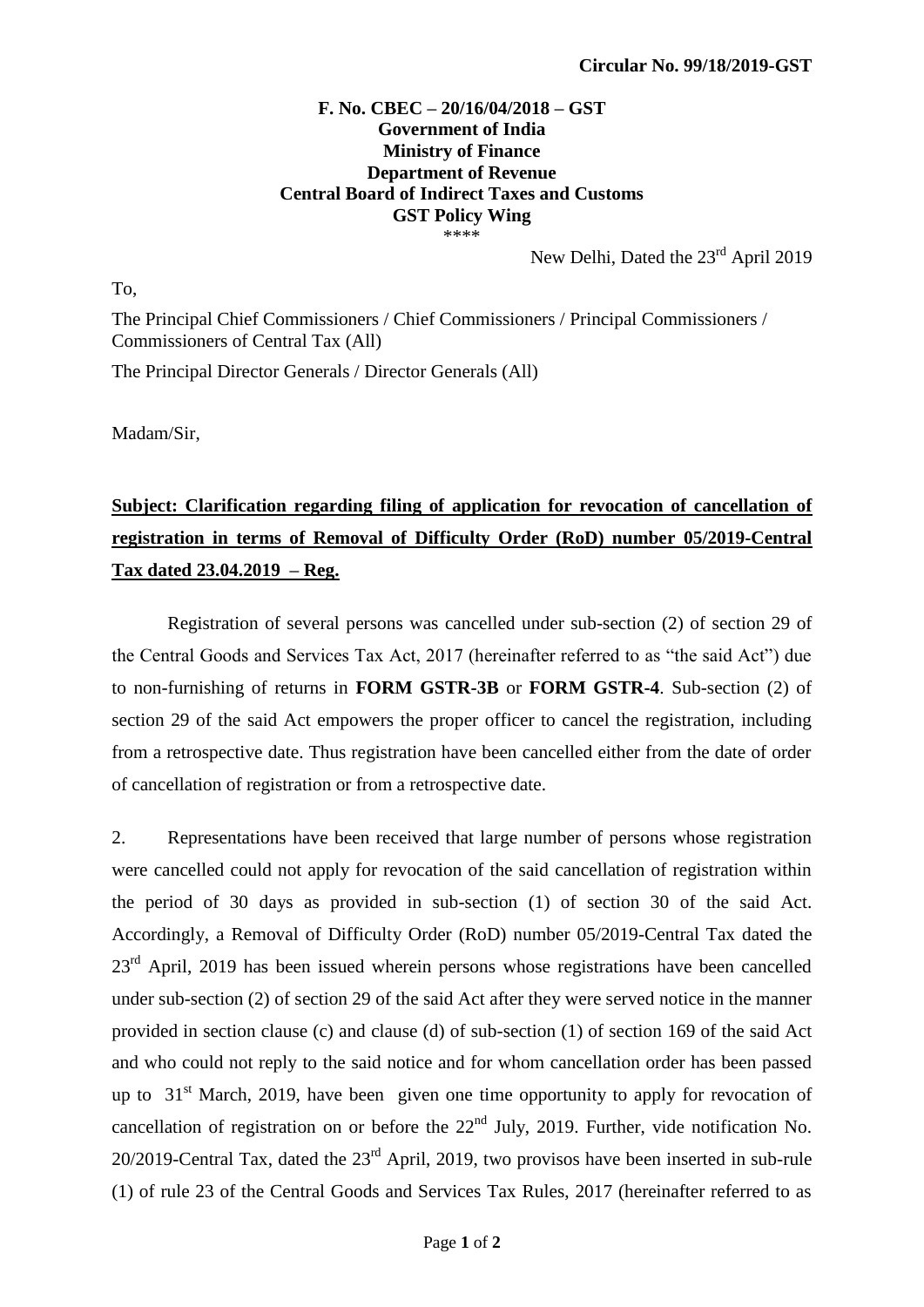## **F. No. CBEC – 20/16/04/2018 – GST Government of India Ministry of Finance Department of Revenue Central Board of Indirect Taxes and Customs GST Policy Wing** \*\*\*\*

New Delhi, Dated the 23<sup>rd</sup> April 2019

To,

The Principal Chief Commissioners / Chief Commissioners / Principal Commissioners / Commissioners of Central Tax (All)

The Principal Director Generals / Director Generals (All)

Madam/Sir,

## **Subject: Clarification regarding filing of application for revocation of cancellation of registration in terms of Removal of Difficulty Order (RoD) number 05/2019-Central Tax dated 23.04.2019 – Reg.**

Registration of several persons was cancelled under sub-section (2) of section 29 of the Central Goods and Services Tax Act, 2017 (hereinafter referred to as "the said Act") due to non-furnishing of returns in **FORM GSTR-3B** or **FORM GSTR-4**. Sub-section (2) of section 29 of the said Act empowers the proper officer to cancel the registration, including from a retrospective date. Thus registration have been cancelled either from the date of order of cancellation of registration or from a retrospective date.

2. Representations have been received that large number of persons whose registration were cancelled could not apply for revocation of the said cancellation of registration within the period of 30 days as provided in sub-section (1) of section 30 of the said Act. Accordingly, a Removal of Difficulty Order (RoD) number 05/2019-Central Tax dated the  $23<sup>rd</sup>$  April, 2019 has been issued wherein persons whose registrations have been cancelled under sub-section (2) of section 29 of the said Act after they were served notice in the manner provided in section clause (c) and clause (d) of sub-section (1) of section 169 of the said Act and who could not reply to the said notice and for whom cancellation order has been passed up to  $31<sup>st</sup>$  March, 2019, have been given one time opportunity to apply for revocation of cancellation of registration on or before the  $22<sup>nd</sup>$  July, 2019. Further, vide notification No. 20/2019-Central Tax, dated the 23rd April, 2019, two provisos have been inserted in sub-rule (1) of rule 23 of the Central Goods and Services Tax Rules, 2017 (hereinafter referred to as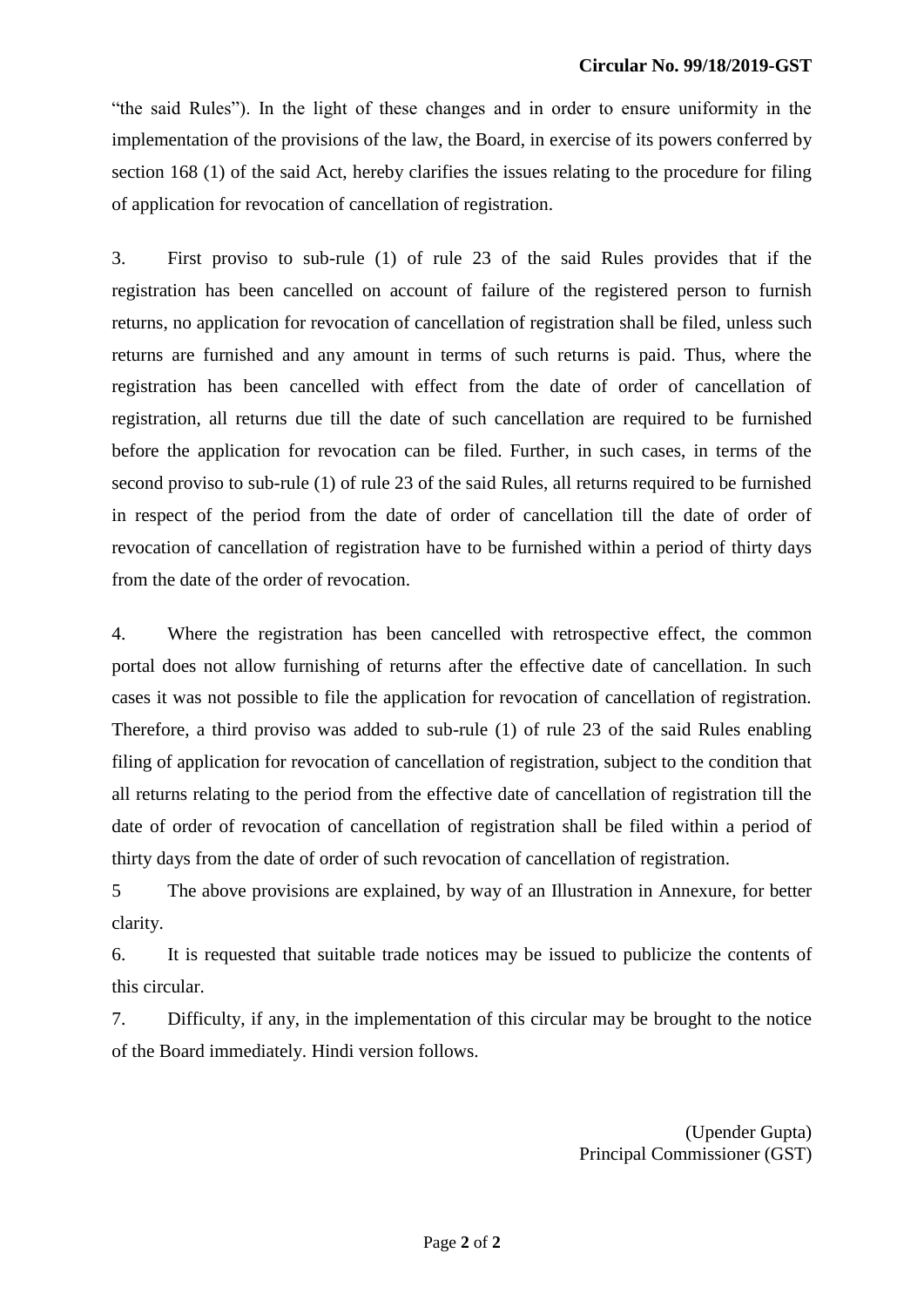"the said Rules"). In the light of these changes and in order to ensure uniformity in the implementation of the provisions of the law, the Board, in exercise of its powers conferred by section 168 (1) of the said Act, hereby clarifies the issues relating to the procedure for filing of application for revocation of cancellation of registration.

3. First proviso to sub-rule (1) of rule 23 of the said Rules provides that if the registration has been cancelled on account of failure of the registered person to furnish returns, no application for revocation of cancellation of registration shall be filed, unless such returns are furnished and any amount in terms of such returns is paid. Thus, where the registration has been cancelled with effect from the date of order of cancellation of registration, all returns due till the date of such cancellation are required to be furnished before the application for revocation can be filed. Further, in such cases, in terms of the second proviso to sub-rule (1) of rule 23 of the said Rules, all returns required to be furnished in respect of the period from the date of order of cancellation till the date of order of revocation of cancellation of registration have to be furnished within a period of thirty days from the date of the order of revocation.

4. Where the registration has been cancelled with retrospective effect, the common portal does not allow furnishing of returns after the effective date of cancellation. In such cases it was not possible to file the application for revocation of cancellation of registration. Therefore, a third proviso was added to sub-rule (1) of rule 23 of the said Rules enabling filing of application for revocation of cancellation of registration, subject to the condition that all returns relating to the period from the effective date of cancellation of registration till the date of order of revocation of cancellation of registration shall be filed within a period of thirty days from the date of order of such revocation of cancellation of registration.

5 The above provisions are explained, by way of an Illustration in Annexure, for better clarity.

6. It is requested that suitable trade notices may be issued to publicize the contents of this circular.

7. Difficulty, if any, in the implementation of this circular may be brought to the notice of the Board immediately. Hindi version follows.

> (Upender Gupta) Principal Commissioner (GST)